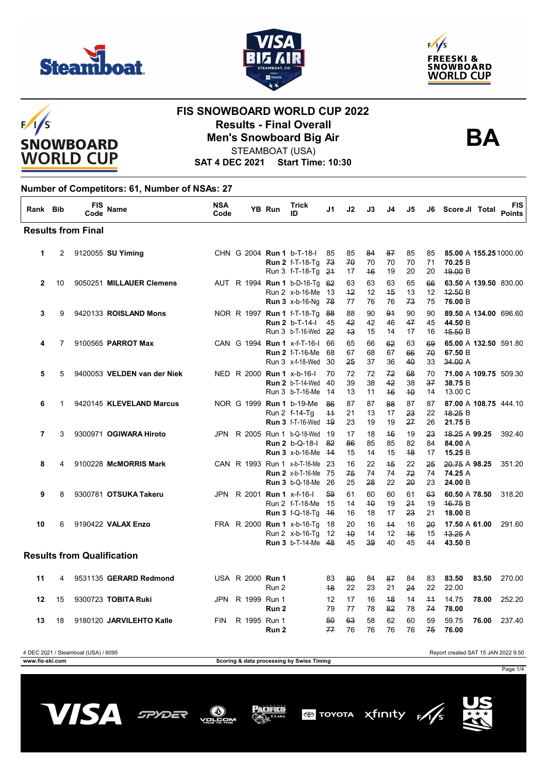







#### **FIS SNOWBOARD WORLD CUP 2022 Results - Final Overall BA Men's Snowboard Big Air**



STEAMBOAT (USA)

**SAT 4 DEC 2021 Start Time: 10:30**

#### **Number of Competitors: 61, Number of NSAs: 27**

| Rank Bib     |    | FIS<br>Code                       | <b>Name</b>                 | <b>NSA</b><br>Code |                         | YB Run | <b>Trick</b><br>ID                                                                       | J1               | J2               | J3             | J4             | J5             | J6                          | Score JI Total                               | <b>FIS</b><br><b>Points</b> |
|--------------|----|-----------------------------------|-----------------------------|--------------------|-------------------------|--------|------------------------------------------------------------------------------------------|------------------|------------------|----------------|----------------|----------------|-----------------------------|----------------------------------------------|-----------------------------|
|              |    | <b>Results from Final</b>         |                             |                    |                         |        |                                                                                          |                  |                  |                |                |                |                             |                                              |                             |
| 1            | 2  |                                   | 9120055 SU Yiming           |                    |                         |        | CHN G 2004 Run 1 b-T-18-I<br><b>Run 2 f-T-18-Tg 73</b><br>Run 3 f-T-18-Tg 24             | 85               | 85<br>70<br>17   | 84<br>70<br>46 | 87<br>70<br>19 | 85<br>70<br>20 | 85<br>71<br>20              | 85.00 A 155.25 1000.00<br>70.25 B<br>49.00 B |                             |
| $\mathbf{2}$ | 10 |                                   | 9050251 MILLAUER Clemens    |                    |                         |        | AUT R 1994 Run 1 b-D-16-Tq 62<br>Run 2 x-b-16-Me<br><b>Run 3</b> x-b-16-Ng 78            | - 13             | 63<br>$+2$<br>77 | 63<br>12<br>76 | 63<br>45<br>76 | 65<br>13<br>73 | 66<br>12 <sup>°</sup><br>75 | 63.50 A 139.50 830.00<br>42.50B<br>76.00 B   |                             |
| 3            | 9  |                                   | 9420133 ROISLAND Mons       |                    |                         |        | NOR R 1997 <b>Run 1</b> f-T-18-Tg 88<br><b>Run 2</b> b-T-14-I<br>Run 3 b-T-16-Wed 22     | 45               | 88<br>42<br>43   | 90<br>42<br>15 | 91<br>46<br>14 | 90<br>47<br>17 | 90<br>45<br>16              | 89.50 A 134.00 696.60<br>44.50 B<br>45.50 B  |                             |
| 4            | 7  |                                   | 9100565 PARROT Max          |                    |                         |        | CAN G 1994 Run 1 x-f-T-16-I 66<br><b>Run 2 f-T-16-Me</b><br>Run 3 x-f-18-Wed             | 68<br>30         | 65<br>67<br>25   | 66<br>68<br>37 | 62<br>67<br>36 | 63<br>66<br>40 | 69<br>70<br>33              | 65.00 A 132.50 591.80<br>67.50 B<br>34.00 A  |                             |
| 5            | 5  |                                   | 9400053 VELDEN van der Niek |                    |                         |        | NED R 2000 Run 1 x-b-16-l<br><b>Run 2</b> b-T-14-Wed<br>Run 3 b-T-16-Me                  | 70<br>-40<br>-14 | 72<br>39<br>13   | 72<br>38<br>11 | 72<br>42<br>46 | 68<br>38<br>40 | 70<br>37<br>14              | 71.00 A 109.75 509.30<br>38.75 B<br>13.00 C  |                             |
| 6            | 1  |                                   | 9420145 KLEVELAND Marcus    |                    |                         |        | NOR G 1999 Run 1 b-19-Me<br>Run 2 f-14-Tq<br><b>Run 3</b> f-T-16-Wed 49                  | 86<br>$+4$       | 87<br>21<br>23   | 87<br>13<br>19 | 88<br>17<br>19 | 87<br>23<br>27 | 87<br>22<br>26              | 87.00 A 108.75 444.10<br>48.25 B<br>21.75 B  |                             |
| 7            | 3  |                                   | 9300971 OGIWARA Hiroto      |                    |                         |        | JPN R 2005 Run 1 b-Q-18-Wed 19<br><b>Run 2</b> b-Q-18-I<br><b>Run 3</b> x-b-16-Me        | 82<br>$-14$      | 17<br>86<br>15   | 18<br>85<br>14 | 46<br>85<br>15 | 19<br>82<br>48 | 23<br>84<br>17              | 48.25 A 99.25<br>84.00 A<br>15.25 B          | 392.40                      |
| 8            | 4  |                                   | 9100228 McMORRIS Mark       |                    |                         |        | CAN R 1993 Run 1 x-b-T-16-Me 23<br><b>Run 2</b> x-b-T-16-Me<br><b>Run 3</b> b-Q-18-Me 26 | - 75             | 16<br>75<br>25   | 22<br>74<br>28 | 45<br>74<br>22 | 22<br>72<br>20 | 25<br>74<br>23              | 20.75 A 98.25<br>74.25 A<br>24.00 B          | 351.20                      |
| 9            | 8  |                                   | 9300781 OTSUKA Takeru       |                    |                         |        | JPN R 2001 Run 1 x-f-16-<br>Run 2 f-T-18-Me 15<br><b>Run 3 f-Q-18-Tg</b>                 | 59<br>-46        | 61<br>14<br>16   | 60<br>40<br>18 | 60<br>19<br>17 | 61<br>24<br>23 | 63<br>19<br>21              | 60.50 A 78.50<br>46.75 B<br>18.00 B          | 318.20                      |
| 10           | 6  |                                   | 9190422 VALAX Enzo          |                    |                         |        | FRA R 2000 <b>Run 1</b> x-b-16-Tg<br>Run 2 x-b-16-Tq<br><b>Run 3</b> b-T-14-Me 48        | 18<br>-12        | 20<br>40<br>45   | 16<br>14<br>39 | 44<br>12<br>40 | 16<br>46<br>45 | 20<br>15<br>44              | 17.50 A 61.00<br>43.25A<br>43.50 B           | 291.60                      |
|              |    | <b>Results from Qualification</b> |                             |                    |                         |        |                                                                                          |                  |                  |                |                |                |                             |                                              |                             |
| 11           | 4  |                                   | 9531135 GERARD Redmond      |                    | USA R 2000 <b>Run 1</b> | Run 2  |                                                                                          | 83<br>48         | 80<br>22         | 84<br>23       | 87<br>21       | 84<br>24       | 83<br>22                    | 83.50<br>83.50<br>22.00                      | 270.00                      |
| 12           | 15 |                                   | 9300723 TOBITA Ruki         |                    | JPN R 1999 Run 1        | Run 2  |                                                                                          | 12<br>79         | 17<br>77         | 16<br>78       | 48<br>82       | 14<br>78       | $+4$<br>74                  | 14.75<br>78.00<br>78.00                      | 252.20                      |
| 13           | 18 |                                   | 9180120 JARVILEHTO Kalle    | <b>FIN</b>         | R 1995 Run 1            | Run 2  |                                                                                          | 50<br>77         | 63<br>76         | 58<br>76       | 62<br>76       | 60<br>76       | 59<br>75                    | 59.75<br>76.00<br>76.00                      | 237.40                      |

4 DEC 2021 / Steamboat (USA) / 6095 Report created SAT 15 JAN 2022 9:50

**www.fis-ski.com Scoring & data processing by Swiss Timing**



Page 1/4



/OL



Pacifico



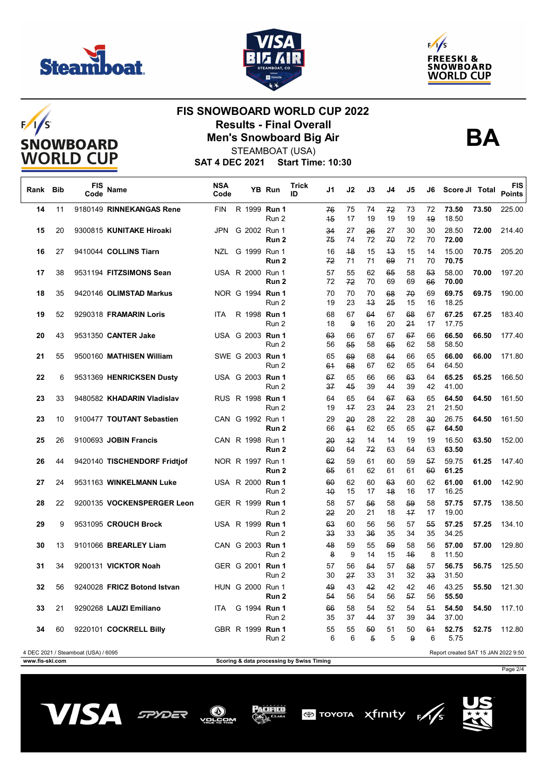







## **FIS SNOWBOARD WORLD CUP 2022 Results - Final Overall BA Men's Snowboard Big Air**



STEAMBOAT (USA)

**SAT 4 DEC 2021 Start Time: 10:30**

| Rank | <b>Bib</b> | <b>FIS</b><br>Code                  | Name                         | <b>NSA</b><br>Code |  | YB Run                    | <b>Trick</b><br>ID | J1         | J2         | J3                   | J4       | J5       | J6                 | Score JI Total                      |       | FIS<br><b>Points</b> |
|------|------------|-------------------------------------|------------------------------|--------------------|--|---------------------------|--------------------|------------|------------|----------------------|----------|----------|--------------------|-------------------------------------|-------|----------------------|
| 14   | 11         |                                     | 9180149 RINNEKANGAS Rene     | <b>FIN</b>         |  | R 1999 Run 1<br>Run 2     |                    | 76<br>$+5$ | 75<br>17   | 74<br>19             | 72<br>19 | 73<br>19 | 72<br>49           | 73.50<br>18.50                      | 73.50 | 225.00               |
| 15   | 20         |                                     | 9300815 KUNITAKE Hiroaki     | <b>JPN</b>         |  | G 2002 Run 1<br>Run 2     |                    | 34<br>75   | 27<br>74   | 26<br>72             | 27<br>70 | 30<br>72 | 30<br>70           | 28.50<br>72.00                      | 72.00 | 214.40               |
| 16   | 27         |                                     | 9410044 COLLINS Tiarn        |                    |  | NZL G 1999 Run 1<br>Run 2 |                    | 16<br>72   | 48<br>71   | 15<br>71             | 43<br>69 | 15<br>71 | 14<br>70           | 15.00<br>70.75                      | 70.75 | 205.20               |
| 17   | 38         |                                     | 9531194 FITZSIMONS Sean      |                    |  | USA R 2000 Run 1<br>Run 2 |                    | 57<br>72   | 55<br>72   | 62<br>70             | 65<br>69 | 58<br>69 | 53<br>66           | 58.00<br>70.00                      | 70.00 | 197.20               |
| 18   | 35         |                                     | 9420146 OLIMSTAD Markus      |                    |  | NOR G 1994 Run 1<br>Run 2 |                    | 70<br>19   | 70<br>23   | 70<br>43             | 68<br>25 | 70<br>15 | 69<br>16           | 69.75<br>18.25                      | 69.75 | 190.00               |
| 19   | 52         |                                     | 9290318 FRAMARIN Loris       | <b>ITA</b>         |  | R 1998 Run 1<br>Run 2     |                    | 68<br>18   | 67<br>9    | 64<br>16             | 67<br>20 | 68<br>24 | 67<br>17           | 67.25<br>17.75                      | 67.25 | 183.40               |
| 20   | 43         |                                     | 9531350 CANTER Jake          |                    |  | USA G 2003 Run 1<br>Run 2 |                    | 63<br>56   | 66<br>55   | 67<br>58             | 67<br>65 | 67<br>62 | 66<br>58           | 66.50<br>58.50                      | 66.50 | 177.40               |
| 21   | 55         |                                     | 9500160 MATHISEN William     |                    |  | SWE G 2003 Run 1<br>Run 2 |                    | 65<br>61   | 69<br>68   | 68<br>67             | 64<br>62 | 66<br>65 | 65<br>64           | 66.00<br>64.50                      | 66.00 | 171.80               |
| 22   | 6          |                                     | 9531369 HENRICKSEN Dusty     |                    |  | USA G 2003 Run 1<br>Run 2 |                    | 67<br>37   | 65<br>45   | 66<br>39             | 66<br>44 | 63<br>39 | 64<br>42           | 65.25<br>41.00                      | 65.25 | 166.50               |
| 23   | 33         |                                     | 9480582 KHADARIN Vladislav   |                    |  | RUS R 1998 Run 1<br>Run 2 |                    | 64<br>19   | 65<br>$+7$ | 64<br>23             | 67<br>24 | 63<br>23 | 65<br>21           | 64.50<br>21.50                      | 64.50 | 161.50               |
| 23   | 10         |                                     | 9100477 TOUTANT Sebastien    |                    |  | CAN G 1992 Run 1<br>Run 2 |                    | 29<br>66   | 20<br>64   | 28<br>62             | 22<br>65 | 28<br>65 | $30^{\circ}$<br>67 | 26.75<br>64.50                      | 64.50 | 161.50               |
| 25   | 26         |                                     | 9100693 JOBIN Francis        |                    |  | CAN R 1998 Run 1<br>Run 2 |                    | 20<br>60   | $+2$<br>64 | 14<br>72             | 14<br>63 | 19<br>64 | 19<br>63           | 16.50<br>63.50                      | 63.50 | 152.00               |
| 26   | 44         |                                     | 9420140 TISCHENDORF Fridtjof |                    |  | NOR R 1997 Run 1<br>Run 2 |                    | 62<br>65   | 59<br>61   | 61<br>62             | 60<br>61 | 59<br>61 | 57<br>60           | 59.75<br>61.25                      | 61.25 | 147.40               |
| 27   | 24         |                                     | 9531163 WINKELMANN Luke      |                    |  | USA R 2000 Run 1<br>Run 2 |                    | 60<br>40   | 62<br>15   | 60<br>17             | 63<br>48 | 60<br>16 | 62<br>17           | 61.00<br>16.25                      | 61.00 | 142.90               |
| 28   | 22         |                                     | 9200135 VOCKENSPERGER Leon   |                    |  | GER R 1999 Run 1<br>Run 2 |                    | 58<br>22   | 57<br>20   | 56<br>21             | 58<br>18 | 59<br>17 | 58<br>17           | 57.75<br>19.00                      | 57.75 | 138.50               |
| 29   | 9          |                                     | 9531095 CROUCH Brock         |                    |  | USA R 1999 Run 1<br>Run 2 |                    | 63<br>33   | 60<br>33   | 56<br>36             | 56<br>35 | 57<br>34 | 55<br>35           | 57.25<br>34.25                      | 57.25 | 134.10               |
| 30   | 13         |                                     | 9101066 BREARLEY Liam        |                    |  | CAN G 2003 Run 1<br>Run 2 |                    | 48<br>8    | 59<br>9    | 55<br>14             | 59<br>15 | 58<br>46 | 56<br>8            | 57.00<br>11.50                      | 57.00 | 129.80               |
| 31   | 34         |                                     | 9200131 VICKTOR Noah         |                    |  | GER G 2001 Run 1<br>Run 2 |                    | 57<br>30   | 56<br>27   | 54<br>33             | 57<br>31 | 58<br>32 | 57<br>33           | 56.75<br>31.50                      | 56.75 | 125.50               |
| 32   | 56         |                                     | 9240028 FRICZ Botond Istvan  |                    |  | HUN G 2000 Run 1<br>Run 2 |                    | 49<br>54   | 43<br>56   | 42<br>54             | 42<br>56 | 42<br>57 | 46<br>56           | 43.25<br>55.50                      | 55.50 | 121.30               |
| 33   | 21         |                                     | 9290268 LAUZI Emiliano       | <b>ITA</b>         |  | G 1994 Run 1<br>Run 2     |                    | 66<br>35   | 58<br>37   | 54<br>44             | 52<br>37 | 54<br>39 | 54<br>34           | 54.50<br>37.00                      | 54.50 | 117.10               |
| 34   | 60         |                                     | 9220101 COCKRELL Billy       |                    |  | GBR R 1999 Run 1<br>Run 2 |                    | 55<br>6    | 55<br>6    | 50<br>$\overline{5}$ | 51<br>5  | 50<br>9  | 61<br>6            | 52.75<br>5.75                       | 52.75 | 112.80               |
|      |            | 4 DEC 2021 / Steamboat (USA) / 6095 |                              |                    |  |                           |                    |            |            |                      |          |          |                    | Report created SAT 15 JAN 2022 9:50 |       |                      |

**WWW.fis-ski.com** 

Page 2/4



vors

 $\circledR$ ОM

Pacifico

**TOYOTA** Xfinity FAS



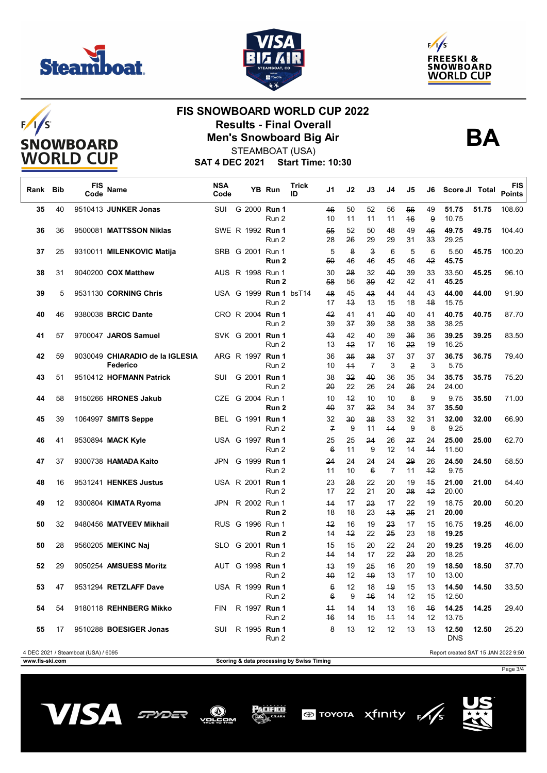







## **FIS SNOWBOARD WORLD CUP 2022 Results - Final Overall BA Men's Snowboard Big Air**



STEAMBOAT (USA)

**SAT 4 DEC 2021 Start Time: 10:30**

| Rank Bib        |    | <b>FIS</b><br>Code                  | Name                                        | <b>NSA</b><br>Code |  | YB Run                           | Trick<br>ID                               | J1                    | J2         | J3                            | J4                   | J5       | J6       | Score JI Total                      |       | <b>FIS</b><br><b>Points</b> |
|-----------------|----|-------------------------------------|---------------------------------------------|--------------------|--|----------------------------------|-------------------------------------------|-----------------------|------------|-------------------------------|----------------------|----------|----------|-------------------------------------|-------|-----------------------------|
| 35              | 40 |                                     | 9510413 JUNKER Jonas                        | SUI                |  | G 2000 Run 1<br>Run 2            |                                           | 46<br>10              | 50<br>11   | 52<br>11                      | 56<br>11             | 56<br>46 | 49<br>9  | 51.75<br>10.75                      | 51.75 | 108.60                      |
| 36              | 36 |                                     | 9500081 MATTSSON Niklas                     |                    |  | SWE R 1992 Run 1<br>Run 2        |                                           | 55<br>28              | 52<br>26   | 50<br>29                      | 48<br>29             | 49<br>31 | 46<br>33 | 49.75<br>29.25                      | 49.75 | 104.40                      |
| 37              | 25 |                                     | 9310011 MILENKOVIC Matija                   |                    |  | SRB G 2001 Run 1<br>Run 2        |                                           | 5<br>50               | 8<br>46    | $\overline{\mathbf{3}}$<br>46 | 6<br>45              | 5<br>46  | 6<br>42  | 5.50<br>45.75                       | 45.75 | 100.20                      |
| 38              | 31 |                                     | 9040200 COX Matthew                         |                    |  | AUS R 1998 Run 1<br>Run 2        |                                           | 30<br>58              | 28<br>56   | 32<br>39                      | 40<br>42             | 39<br>42 | 33<br>41 | 33.50<br>45.25                      | 45.25 | 96.10                       |
| 39              | 5  |                                     | 9531130 CORNING Chris                       |                    |  | USA G 1999 Run 1 bsT14<br>Run 2  |                                           | 48<br>17              | 45<br>43   | 43<br>13                      | 44<br>15             | 44<br>18 | 43<br>48 | 44.00<br>15.75                      | 44.00 | 91.90                       |
| 40              | 46 |                                     | 9380038 BRCIC Dante                         |                    |  | CRO R 2004 Run 1<br>Run 2        |                                           | 42<br>39              | 41<br>37   | 41<br>39                      | 40<br>38             | 40<br>38 | 41<br>38 | 40.75<br>38.25                      | 40.75 | 87.70                       |
| 41              | 57 |                                     | 9700047 JAROS Samuel                        |                    |  | SVK G 2001 <b>Run 1</b><br>Run 2 |                                           | 43<br>13              | 42<br>$+2$ | 40<br>17                      | 39<br>16             | 36<br>22 | 36<br>19 | 39.25<br>16.25                      | 39.25 | 83.50                       |
| 42              | 59 |                                     | 9030049 CHIARADIO de la IGLESIA<br>Federico |                    |  | ARG R 1997 Run 1<br>Run 2        |                                           | 36<br>10              | 35<br>$+4$ | 38<br>$\overline{7}$          | 37<br>3              | 37<br>2  | 37<br>3  | 36.75<br>5.75                       | 36.75 | 79.40                       |
| 43              | 51 |                                     | 9510412 HOFMANN Patrick                     | SUI                |  | G 2001 Run 1<br>Run 2            |                                           | 38<br>20              | 32<br>22   | 40<br>26                      | 36<br>24             | 35<br>26 | 34<br>24 | 35.75<br>24.00                      | 35.75 | 75.20                       |
| 44              | 58 |                                     | 9150266 HRONES Jakub                        |                    |  | CZE G 2004 Run 1<br>Run 2        |                                           | 10<br>40              | $+2$<br>37 | 10<br>32                      | 10<br>34             | 8<br>34  | 9<br>37  | 9.75<br>35.50                       | 35.50 | 71.00                       |
| 45              | 39 |                                     | 1064997 SMITS Seppe                         |                    |  | BEL G 1991 Run 1<br>Run 2        |                                           | 32<br>$\overline{f}$  | 30<br>9    | 38<br>11                      | 33<br>44             | 32<br>9  | 31<br>8  | 32.00<br>9.25                       | 32.00 | 66.90                       |
| 46              | 41 |                                     | 9530894 MACK Kyle                           |                    |  | USA G 1997 Run 1<br>Run 2        |                                           | 25<br>$6\overline{6}$ | 25<br>11   | 24<br>9                       | 26<br>12             | 27<br>14 | 24<br>44 | 25.00<br>11.50                      | 25.00 | 62.70                       |
| 47              | 37 |                                     | 9300738 HAMADA Kaito                        |                    |  | JPN G 1999 Run 1<br>Run 2        |                                           | 24<br>11              | 24<br>10   | 24<br>$\epsilon$              | 24<br>$\overline{7}$ | 29<br>11 | 26<br>42 | 24.50<br>9.75                       | 24.50 | 58.50                       |
| 48              | 16 |                                     | 9531241 HENKES Justus                       |                    |  | USA R 2001 <b>Run 1</b><br>Run 2 |                                           | 23<br>17              | 28<br>22   | 22<br>21                      | 20<br>20             | 19<br>28 | 45<br>42 | 21.00<br>20.00                      | 21.00 | 54.40                       |
| 49              | 12 |                                     | 9300804 KIMATA Ryoma                        |                    |  | JPN R 2002 Run 1<br>Run 2        |                                           | 44<br>18              | 17<br>18   | 23<br>23                      | 17<br>43             | 22<br>25 | 19<br>21 | 18.75<br>20.00                      | 20.00 | 50.20                       |
| 50              | 32 |                                     | 9480456 MATVEEV Mikhail                     |                    |  | RUS G 1996 Run 1<br>Run 2        |                                           | $+2$<br>14            | 16<br>$+2$ | 19<br>22                      | 23<br>25             | 17<br>23 | 15<br>18 | 16.75<br>19.25                      | 19.25 | 46.00                       |
| 50              | 28 |                                     | 9560205 MEKINC Naj                          |                    |  | SLO G 2001 Run 1<br>Run 2        |                                           | 45<br>44              | 15<br>14   | 20<br>17                      | 22<br>22             | 24<br>23 | 20<br>20 | 19.25<br>18.25                      | 19.25 | 46.00                       |
| 52              | 29 |                                     | 9050254 AMSUESS Moritz                      |                    |  | AUT G 1998 Run 1<br>Run 2        |                                           | 43<br>40              | 19<br>12   | 25<br>49                      | 16<br>13             | 20<br>17 | 19<br>10 | 18.50<br>13.00                      | 18.50 | 37.70                       |
| 53              | 47 |                                     | 9531294 RETZLAFF Dave                       |                    |  | USA R 1999 Run 1<br>Run 2        |                                           | 6<br>6                | 12<br>9    | 18<br>46                      | 49<br>14             | 15<br>12 | 13<br>15 | 14.50<br>12.50                      | 14.50 | 33.50                       |
| 54              | 54 |                                     | 9180118 REHNBERG Mikko                      | <b>FIN</b>         |  | R 1997 Run 1<br>Run 2            |                                           | 44<br>46              | 14<br>14   | 14<br>15                      | 13<br>$+4$           | 16<br>14 | 46<br>12 | 14.25<br>13.75                      | 14.25 | 29.40                       |
| 55              | 17 |                                     | 9510288 BOESIGER Jonas                      | SUI                |  | R 1995 Run 1<br>Run 2            |                                           | 8                     | 13         | 12                            | 12                   | 13       | 43       | 12.50<br>DNS                        | 12.50 | 25.20                       |
| www.fis-ski.com |    | 4 DEC 2021 / Steamboat (USA) / 6095 |                                             |                    |  |                                  | Scoring & data processing by Swiss Timing |                       |            |                               |                      |          |          | Report created SAT 15 JAN 2022 9:50 |       |                             |

**Scoring & data processing by Swiss Timing** 

Page 3/4





PACIFICO

ОM



 $\circledast$  TOYOTA Xfinity  $\mathfrak{f}$ /s